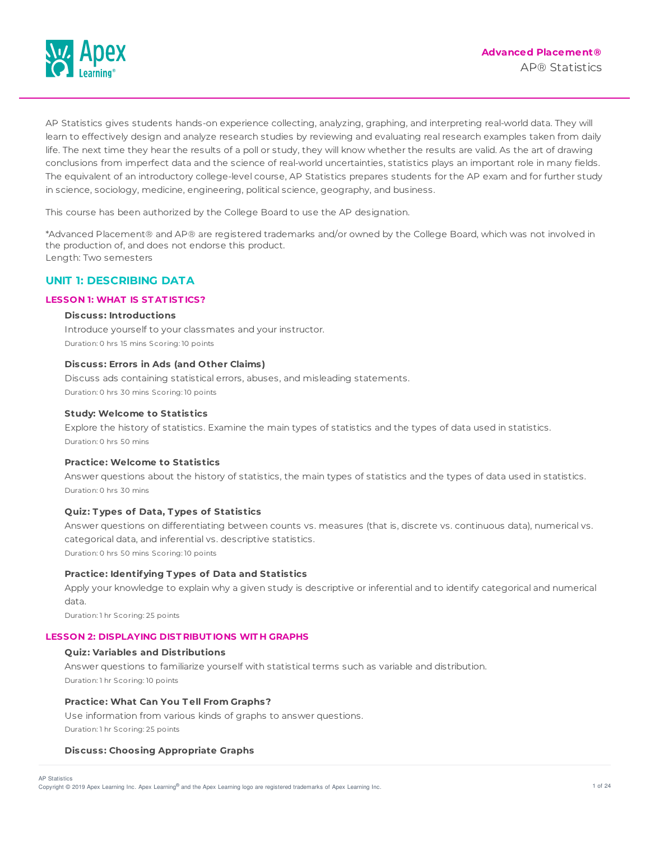

AP Statistics gives students hands-on experience collecting, analyzing, graphing, and interpreting real-world data. They will learn to effectively design and analyze research studies by reviewing and evaluating real research examples taken from daily life. The next time they hear the results of a poll or study, they will know whether the results are valid. As the art of drawing conclusions from imperfect data and the science of real-world uncertainties, statistics plays an important role in many fields. The equivalent of an introductory college-level course, AP Statistics prepares students for the AP exam and for further study in science, sociology, medicine, engineering, political science, geography, and business.

This course has been authorized by the College Board to use the AP designation.

\*Advanced Placement® and AP® are registered trademarks and/or owned by the College Board, which was not involved in the production of, and does not endorse this product. Length: Two semesters

# **UNIT 1: DESCRIBING DATA**

## **LESSON 1: WHAT IS ST AT IST ICS?**

## **Discuss: Introductions**

Introduce yourself to your classmates and your instructor. Duration: 0 hrs 15 mins Scoring: 10 points

### **Discuss: Errors in Ads (and Other Claims)**

Discuss ads containing statistical errors, abuses, and misleading statements. Duration: 0 hrs 30 mins Scoring: 10 points

### **Study: Welcome to Statistics**

Explore the history of statistics. Examine the main types of statistics and the types of data used in statistics. Duration: 0 hrs 50 mins

## **Practice: Welcome to Statistics**

Answer questions about the history of statistics, the main types of statistics and the types of data used in statistics. Duration: 0 hrs 30 mins

## **Quiz: T ypes of Data, T ypes of Statistics**

Answer questions on differentiating between counts vs. measures (that is, discrete vs. continuous data), numerical vs. categorical data, and inferential vs. descriptive statistics. Duration: 0 hrs 50 mins Scoring: 10 points

## **Practice: Identifying T ypes of Data and Statistics**

Apply your knowledge to explain why a given study is descriptive or inferential and to identify categorical and numerical data.

Duration: 1 hr Scoring: 25 points

#### **LESSON 2: DISPLAYING DIST RIBUT IONS WIT H GRAPHS**

#### **Quiz: Variables and Distributions**

Answer questions to familiarize yourself with statistical terms such as variable and distribution. Duration: 1 hr Scoring: 10 points

## **Practice: What Can You T ell From Graphs?**

Use information from various kinds of graphs to answer questions. Duration: 1 hr Scoring: 25 points

## **Discuss: Choosing Appropriate Graphs**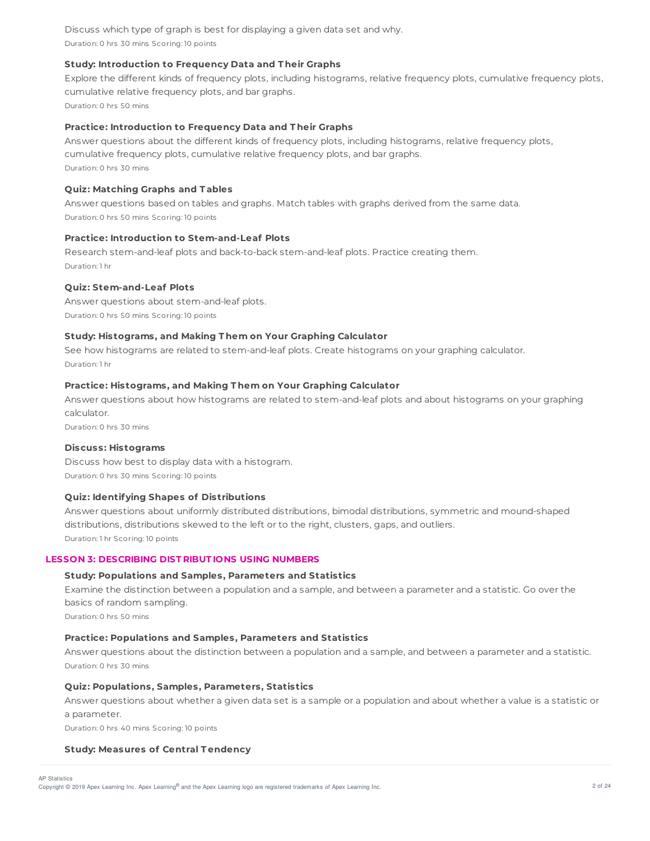Discuss which type of graph is best for displaying a given data set and why. Duration: 0 hrs 30 mins Scoring: 10 points

## **Study: Introduction to Frequency Data and T heir Graphs**

Explore the different kinds of frequency plots, including histograms, relative frequency plots, cumulative frequency plots, cumulative relative frequency plots, and bar graphs. Duration: 0 hrs 50 mins

### **Practice: Introduction to Frequency Data and T heir Graphs**

Answer questions about the different kinds of frequency plots, including histograms, relative frequency plots, cumulative frequency plots, cumulative relative frequency plots, and bar graphs. Duration: 0 hrs 30 mins

### **Quiz: Matching Graphs and T ables**

Answer questions based on tables and graphs. Match tables with graphs derived from the same data. Duration: 0 hrs 50 mins Scoring: 10 points

## **Practice: Introduction to Stem-and-Leaf Plots**

Research stem-and-leaf plots and back-to-back stem-and-leaf plots. Practice creating them. Duration: 1 hr

### **Quiz: Stem-and-Leaf Plots**

Answer questions about stem-and-leaf plots. Duration: 0 hrs 50 mins Scoring: 10 points

### **Study: Histograms, and Making T hem on Your Graphing Calculator**

See how histograms are related to stem-and-leaf plots. Create histograms on your graphing calculator. Duration: 1 hr

#### **Practice: Histograms, and Making T hem on Your Graphing Calculator**

Answer questions about how histograms are related to stem-and-leaf plots and about histograms on your graphing calculator.

Duration: 0 hrs 30 mins

#### **Discuss: Histograms**

Discuss how best to display data with a histogram. Duration: 0 hrs 30 mins Scoring: 10 points

## **Quiz: Identifying Shapes of Distributions**

Answer questions about uniformly distributed distributions, bimodal distributions, symmetric and mound-shaped distributions, distributions skewed to the left or to the right, clusters, gaps, and outliers. Duration: 1 hr Scoring: 10 points

## **LESSON 3: DESCRIBING DIST RIBUT IONS USING NUMBERS**

#### **Study: Populations and Samples, Parameters and Statistics**

Examine the distinction between a population and a sample, and between a parameter and a statistic. Go over the basics of random sampling.

Duration: 0 hrs 50 mins

#### **Practice: Populations and Samples, Parameters and Statistics**

Answer questions about the distinction between a population and a sample, and between a parameter and a statistic. Duration: 0 hrs 30 mins

#### **Quiz: Populations, Samples, Parameters, Statistics**

Answer questions about whether a given data set is a sample or a population and about whether a value is a statistic or a parameter.

Duration: 0 hrs 40 mins Scoring: 10 points

#### **Study: Measures of Central T endency**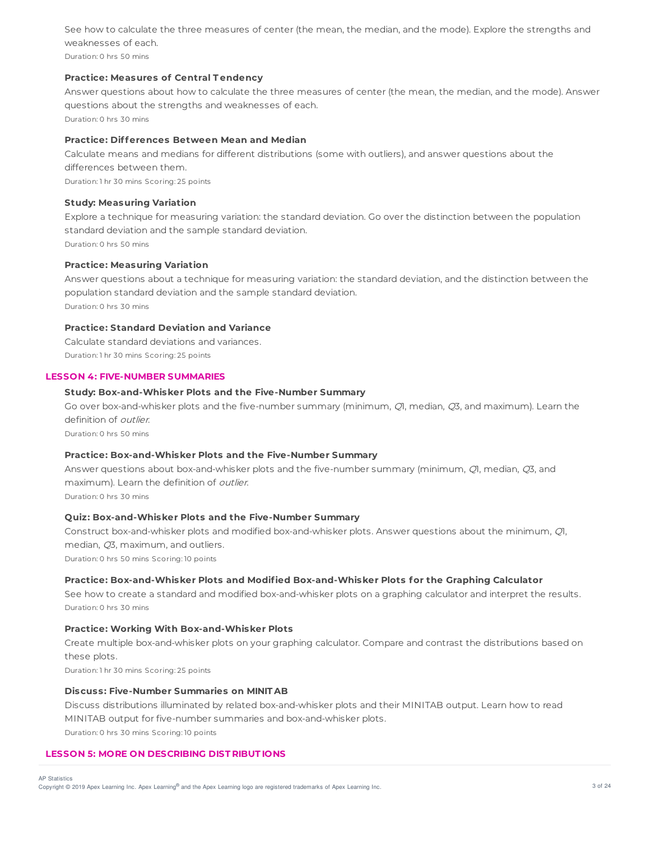See how to calculate the three measures of center (the mean, the median, and the mode). Explore the strengths and weaknesses of each.

Duration: 0 hrs 50 mins

## **Practice: Measures of Central T endency**

Answer questions about how to calculate the three measures of center (the mean, the median, and the mode). Answer questions about the strengths and weaknesses of each. Duration: 0 hrs 30 mins

**Practice: Differences Between Mean and Median**

Calculate means and medians for different distributions (some with outliers), and answer questions about the differences between them. Duration: 1 hr 30 mins Scoring: 25 points

**Study: Measuring Variation**

Explore a technique for measuring variation: the standard deviation. Go over the distinction between the population standard deviation and the sample standard deviation. Duration: 0 hrs 50 mins

## **Practice: Measuring Variation**

Answer questions about a technique for measuring variation: the standard deviation, and the distinction between the population standard deviation and the sample standard deviation.

Duration: 0 hrs 30 mins

## **Practice: Standard Deviation and Variance**

Calculate standard deviations and variances. Duration: 1 hr 30 mins Scoring: 25 points

## **LESSON 4: FIVE-NUMBER SUMMARIES**

### **Study: Box-and-Whisker Plots and the Five-Number Summary**

Go over box-and-whisker plots and the five-number summary (minimum, QI, median, Q3, and maximum). Learn the definition of outlier.

Duration: 0 hrs 50 mins

## **Practice: Box-and-Whisker Plots and the Five-Number Summary**

Answer questions about box-and-whisker plots and the five-number summary (minimum, Q1, median, Q3, and maximum). Learn the definition of *outlier*.

Duration: 0 hrs 30 mins

## **Quiz: Box-and-Whisker Plots and the Five-Number Summary**

Construct box-and-whisker plots and modified box-and-whisker plots. Answer questions about the minimum, Q1, median, Q3, maximum, and outliers.

Duration: 0 hrs 50 mins Scoring: 10 points

## **Practice: Box-and-Whisker Plots and Modified Box-and-Whisker Plots for the Graphing Calculator**

See how to create a standard and modified box-and-whisker plots on a graphing calculator and interpret the results. Duration: 0 hrs 30 mins

### **Practice: Working With Box-and-Whisker Plots**

Create multiple box-and-whisker plots on your graphing calculator. Compare and contrast the distributions based on these plots.

Duration: 1 hr 30 mins Scoring: 25 points

### **Discuss: Five-Number Summaries on MINIT AB**

Discuss distributions illuminated by related box-and-whisker plots and their MINITAB output. Learn how to read MINITAB output for five-number summaries and box-and-whisker plots. Duration: 0 hrs 30 mins Scoring: 10 points

## **LESSON 5: MORE ON DESCRIBING DIST RIBUT IONS**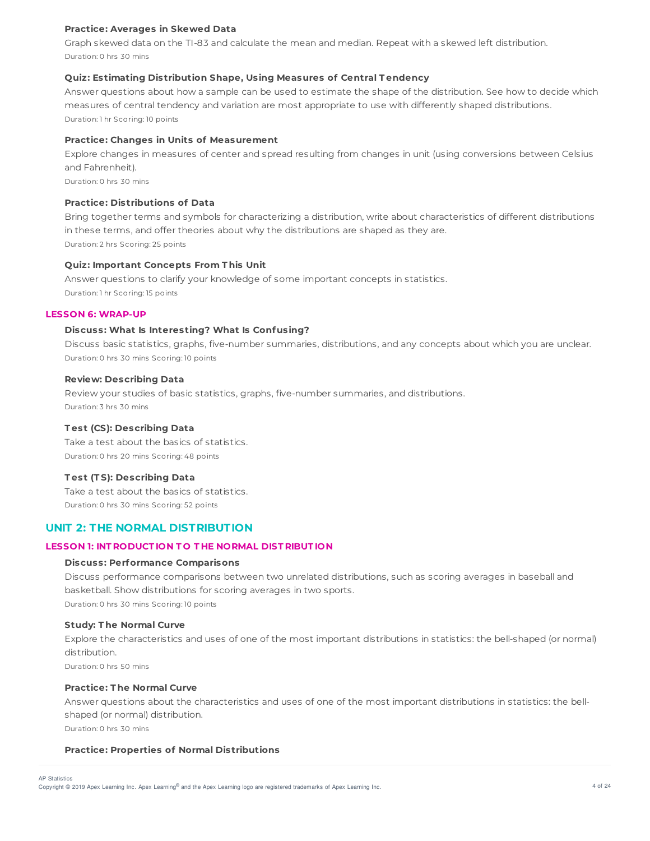## **Practice: Averages in Skewed Data**

Graph skewed data on the TI-83 and calculate the mean and median. Repeat with a skewed left distribution. Duration: 0 hrs 30 mins

### **Quiz: Estimating Distribution Shape, Using Measures of Central T endency**

Answer questions about how a sample can be used to estimate the shape of the distribution. See how to decide which measures of central tendency and variation are most appropriate to use with differently shaped distributions. Duration: 1 hr Scoring: 10 points

## **Practice: Changes in Units of Measurement**

Explore changes in measures of center and spread resulting from changes in unit (using conversions between Celsius and Fahrenheit).

Duration: 0 hrs 30 mins

## **Practice: Distributions of Data**

Bring together terms and symbols for characterizing a distribution, write about characteristics of different distributions in these terms, and offer theories about why the distributions are shaped as they are. Duration: 2 hrs Scoring: 25 points

#### **Quiz: Important Concepts From T his Unit**

Answer questions to clarify your knowledge of some important concepts in statistics. Duration: 1 hr Scoring: 15 points

## **LESSON 6: WRAP-UP**

#### **Discuss: What Is Interesting? What Is Confusing?**

Discuss basic statistics, graphs, five-number summaries, distributions, and any concepts about which you are unclear. Duration: 0 hrs 30 mins Scoring: 10 points

#### **Review: Describing Data**

Review your studies of basic statistics, graphs, five-number summaries, and distributions. Duration: 3 hrs 30 mins

#### **T est (CS): Describing Data**

Take a test about the basics of statistics. Duration: 0 hrs 20 mins Scoring: 48 points

## **T est (T S): Describing Data**

Take a test about the basics of statistics. Duration: 0 hrs 30 mins Scoring: 52 points

## **UNIT 2: THE NORMAL DISTRIBUTION**

### **LESSON 1: INT RODUCT ION T O T HE NORMAL DIST RIBUT ION**

#### **Discuss: Performance Comparisons**

Discuss performance comparisons between two unrelated distributions, such as scoring averages in baseball and basketball. Show distributions for scoring averages in two sports. Duration: 0 hrs 30 mins Scoring: 10 points

#### **Study: T he Normal Curve**

Explore the characteristics and uses of one of the most important distributions in statistics: the bell-shaped (or normal) distribution.

Duration: 0 hrs 50 mins

#### **Practice: T he Normal Curve**

Answer questions about the characteristics and uses of one of the most important distributions in statistics: the bellshaped (or normal) distribution.

Duration: 0 hrs 30 mins

#### **Practice: Properties of Normal Distributions**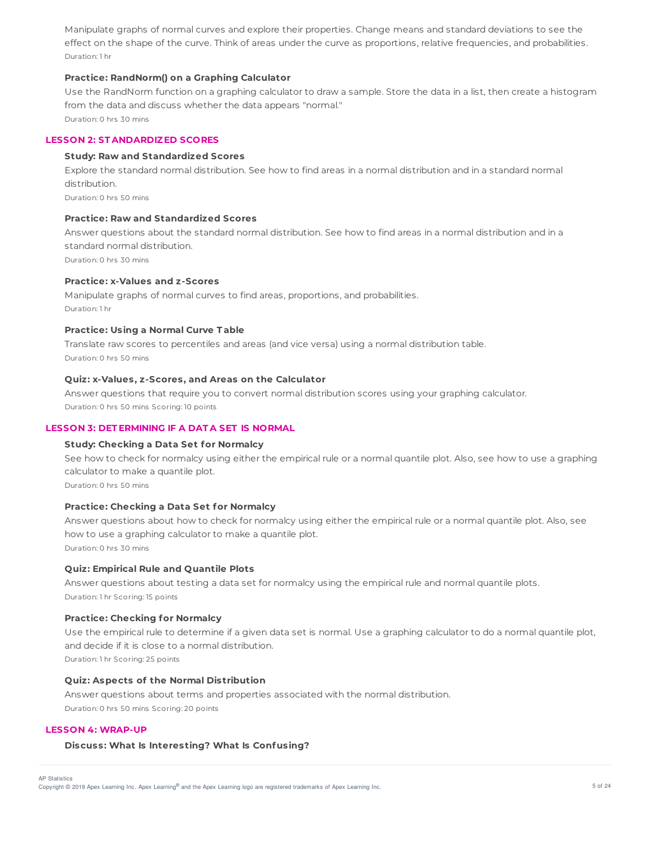Manipulate graphs of normal curves and explore their properties. Change means and standard deviations to see the effect on the shape of the curve. Think of areas under the curve as proportions, relative frequencies, and probabilities. Duration: 1 hr

### **Practice: RandNorm() on a Graphing Calculator**

Use the RandNorm function on a graphing calculator to draw a sample. Store the data in a list, then create a histogram from the data and discuss whether the data appears "normal." Duration: 0 hrs 30 mins

## **LESSON 2: ST ANDARDIZED SCORES**

## **Study: Raw and Standardized Scores**

Explore the standard normal distribution. See how to find areas in a normal distribution and in a standard normal distribution.

Duration: 0 hrs 50 mins

## **Practice: Raw and Standardized Scores**

Answer questions about the standard normal distribution. See how to find areas in a normal distribution and in a standard normal distribution. Duration: 0 hrs 30 mins

## **Practice: x-Values and z-Scores**

Manipulate graphs of normal curves to find areas, proportions, and probabilities. Duration: 1 hr

#### **Practice: Using a Normal Curve T able**

Translate raw scores to percentiles and areas (and vice versa) using a normal distribution table. Duration: 0 hrs 50 mins

## **Quiz: x-Values, z-Scores, and Areas on the Calculator**

Answer questions that require you to convert normal distribution scores using your graphing calculator. Duration: 0 hrs 50 mins Scoring: 10 points

## **LESSON 3: DET ERMINING IF A DAT A SET IS NORMAL**

### **Study: Checking a Data Set for Normalcy**

See how to check for normalcy using either the empirical rule or a normal quantile plot. Also, see how to use a graphing calculator to make a quantile plot. Duration: 0 hrs 50 mins

## **Practice: Checking a Data Set for Normalcy**

Answer questions about how to check for normalcy using either the empirical rule or a normal quantile plot. Also, see how to use a graphing calculator to make a quantile plot. Duration: 0 hrs 30 mins

## **Quiz: Empirical Rule and Quantile Plots**

Answer questions about testing a data set for normalcy using the empirical rule and normal quantile plots. Duration: 1 hr Scoring: 15 points

#### **Practice: Checking for Normalcy**

Use the empirical rule to determine if a given data set is normal. Use a graphing calculator to do a normal quantile plot, and decide if it is close to a normal distribution.

Duration: 1 hr Scoring: 25 points

#### **Quiz: Aspects of the Normal Distribution**

Answer questions about terms and properties associated with the normal distribution. Duration: 0 hrs 50 mins Scoring: 20 points

### **LESSON 4: WRAP-UP**

#### **Discuss: What Is Interesting? What Is Confusing?**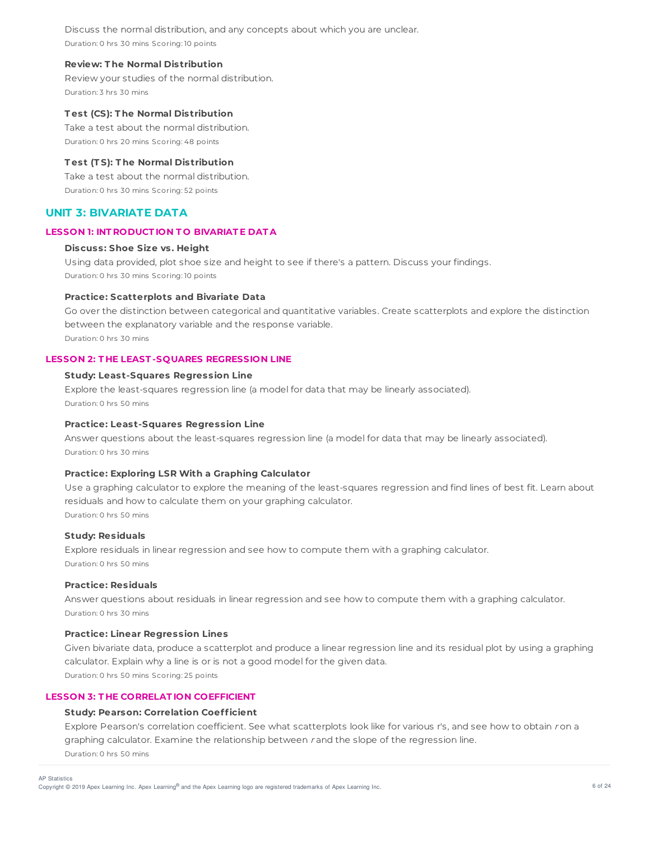Discuss the normal distribution, and any concepts about which you are unclear. Duration: 0 hrs 30 mins Scoring: 10 points

### **Review: T he Normal Distribution**

Review your studies of the normal distribution. Duration: 3 hrs 30 mins

### **T est (CS): T he Normal Distribution**

Take a test about the normal distribution. Duration: 0 hrs 20 mins Scoring: 48 points

### **T est (T S): T he Normal Distribution**

Take a test about the normal distribution. Duration: 0 hrs 30 mins Scoring: 52 points

## **UNIT 3: BIVARIATE DATA**

## **LESSON 1: INT RODUCT ION T O BIVARIAT E DAT A**

## **Discuss: Shoe Size vs. Height**

Using data provided, plot shoe size and height to see if there's a pattern. Discuss your findings. Duration: 0 hrs 30 mins Scoring: 10 points

# **Practice: Scatterplots and Bivariate Data**

Go over the distinction between categorical and quantitative variables. Create scatterplots and explore the distinction between the explanatory variable and the response variable. Duration: 0 hrs 30 mins

## **LESSON 2: T HE LEAST -SQUARES REGRESSION LINE**

#### **Study: Least-Squares Regression Line**

Explore the least-squares regression line (a model for data that may be linearly associated). Duration: 0 hrs 50 mins

#### **Practice: Least-Squares Regression Line**

Answer questions about the least-squares regression line (a model for data that may be linearly associated). Duration: 0 hrs 30 mins

## **Practice: Exploring LSR With a Graphing Calculator**

Use a graphing calculator to explore the meaning of the least-squares regression and find lines of best fit. Learn about residuals and how to calculate them on your graphing calculator. Duration: 0 hrs 50 mins

#### **Study: Residuals**

Explore residuals in linear regression and see how to compute them with a graphing calculator. Duration: 0 hrs 50 mins

#### **Practice: Residuals**

Answer questions about residuals in linear regression and see how to compute them with a graphing calculator. Duration: 0 hrs 30 mins

### **Practice: Linear Regression Lines**

Given bivariate data, produce a scatterplot and produce a linear regression line and its residual plot by using a graphing calculator. Explain why a line is or is not a good model for the given data. Duration: 0 hrs 50 mins Scoring: 25 points

## **LESSON 3: T HE CORRELAT ION COEFFICIENT**

### **Study: Pearson: Correlation Coefficient**

Explore Pearson's correlation coefficient. See what scatterplots look like for various r's, and see how to obtain ron a graphing calculator. Examine the relationship between <sup>r</sup> and the slope of the regression line. Duration: 0 hrs 50 mins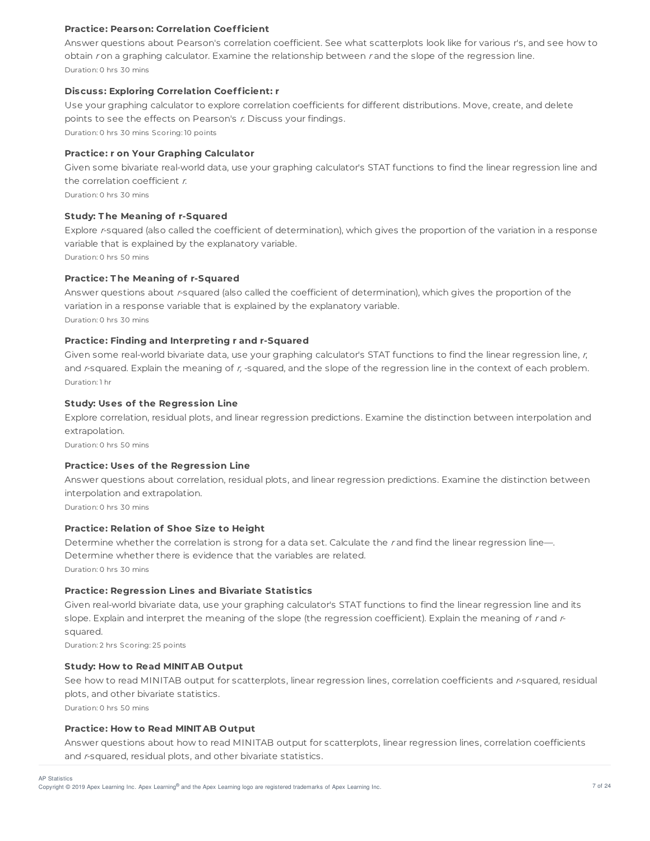## **Practice: Pearson: Correlation Coefficient**

Answer questions about Pearson's correlation coefficient. See what scatterplots look like for various r's, and see how to obtain r on a graphing calculator. Examine the relationship between r and the slope of the regression line. Duration: 0 hrs 30 mins

## **Discuss: Exploring Correlation Coefficient: r**

Use your graphing calculator to explore correlation coefficients for different distributions. Move, create, and delete points to see the effects on Pearson's r. Discuss your findings.

Duration: 0 hrs 30 mins Scoring: 10 points

### **Practice: r on Your Graphing Calculator**

Given some bivariate real-world data, use your graphing calculator's STAT functions to find the linear regression line and the correlation coefficient  $r$ .

Duration: 0 hrs 30 mins

### **Study: T he Meaning of r-Squared**

Explore r-squared (also called the coefficient of determination), which gives the proportion of the variation in a response variable that is explained by the explanatory variable.

Duration: 0 hrs 50 mins

## **Practice: T he Meaning of r-Squared**

Answer questions about r-squared (also called the coefficient of determination), which gives the proportion of the variation in a response variable that is explained by the explanatory variable. Duration: 0 hrs 30 mins

### **Practice: Finding and Interpreting r and r-Squared**

Given some real-world bivariate data, use your graphing calculator's STAT functions to find the linear regression line, r, and r-squared. Explain the meaning of r, -squared, and the slope of the regression line in the context of each problem. Duration: 1 hr

## **Study: Uses of the Regression Line**

Explore correlation, residual plots, and linear regression predictions. Examine the distinction between interpolation and extrapolation.

Duration: 0 hrs 50 mins

## **Practice: Uses of the Regression Line**

Answer questions about correlation, residual plots, and linear regression predictions. Examine the distinction between interpolation and extrapolation.

Duration: 0 hrs 30 mins

## **Practice: Relation of Shoe Size to Height**

Determine whether the correlation is strong for a data set. Calculate the r and find the linear regression line-Determine whether there is evidence that the variables are related. Duration: 0 hrs 30 mins

## **Practice: Regression Lines and Bivariate Statistics**

Given real-world bivariate data, use your graphing calculator's STAT functions to find the linear regression line and its slope. Explain and interpret the meaning of the slope (the regression coefficient). Explain the meaning of rand rsquared.

Duration: 2 hrs Scoring: 25 points

#### **Study: How to Read MINIT AB Output**

See how to read MINITAB output for scatterplots, linear regression lines, correlation coefficients and r-squared, residual plots, and other bivariate statistics.

Duration: 0 hrs 50 mins

AP Statistics

### **Practice: How to Read MINIT AB Output**

Answer questions about how to read MINITAB output for scatterplots, linear regression lines, correlation coefficients and r-squared, residual plots, and other bivariate statistics.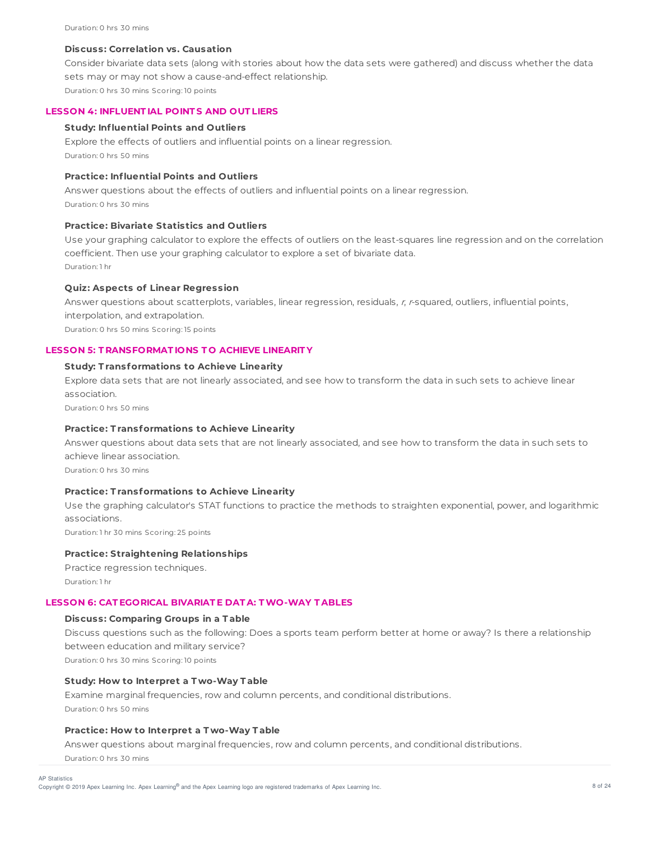### **Discuss: Correlation vs. Causation**

Consider bivariate data sets (along with stories about how the data sets were gathered) and discuss whether the data sets may or may not show a cause-and-effect relationship. Duration: 0 hrs 30 mins Scoring: 10 points

### **LESSON 4: INFLUENT IAL POINT S AND OUT LIERS**

### **Study: Influential Points and Outliers**

Explore the effects of outliers and influential points on a linear regression. Duration: 0 hrs 50 mins

## **Practice: Influential Points and Outliers**

Answer questions about the effects of outliers and influential points on a linear regression. Duration: 0 hrs 30 mins

## **Practice: Bivariate Statistics and Outliers**

Use your graphing calculator to explore the effects of outliers on the least-squares line regression and on the correlation coefficient. Then use your graphing calculator to explore a set of bivariate data. Duration: 1 hr

## **Quiz: Aspects of Linear Regression**

Answer questions about scatterplots, variables, linear regression, residuals, <sup>r</sup>, <sup>r</sup>-squared, outliers, influential points, interpolation, and extrapolation. Duration: 0 hrs 50 mins Scoring: 15 points

### **LESSON 5: T RANSFORMAT IONS T O ACHIEVE LINEARIT Y**

### **Study: T ransformations to Achieve Linearity**

Explore data sets that are not linearly associated, and see how to transform the data in such sets to achieve linear association.

Duration: 0 hrs 50 mins

## **Practice: T ransformations to Achieve Linearity**

Answer questions about data sets that are not linearly associated, and see how to transform the data in such sets to achieve linear association.

Duration: 0 hrs 30 mins

### **Practice: T ransformations to Achieve Linearity**

Use the graphing calculator's STAT functions to practice the methods to straighten exponential, power, and logarithmic associations.

Duration: 1 hr 30 mins Scoring: 25 points

### **Practice: Straightening Relationships**

Practice regression techniques. Duration: 1 hr

### **LESSON 6: CAT EGORICAL BIVARIAT E DAT A: TWO-WAY T ABLES**

### **Discuss: Comparing Groups in a T able**

Discuss questions such as the following: Does a sports team perform better at home or away? Is there a relationship between education and military service?

Duration: 0 hrs 30 mins Scoring: 10 points

#### **Study: How to Interpret a T wo-Way T able**

Examine marginal frequencies, row and column percents, and conditional distributions. Duration: 0 hrs 50 mins

## **Practice: How to Interpret a T wo-Way T able**

Answer questions about marginal frequencies, row and column percents, and conditional distributions. Duration: 0 hrs 30 mins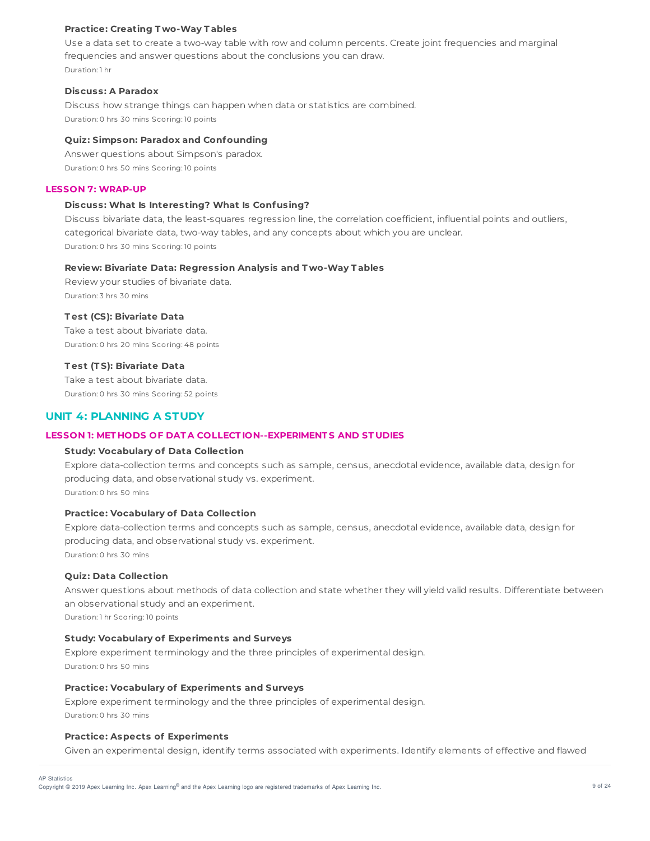### **Practice: Creating T wo-Way T ables**

Use a data set to create a two-way table with row and column percents. Create joint frequencies and marginal frequencies and answer questions about the conclusions you can draw. Duration: 1 hr

#### **Discuss: A Paradox**

Discuss how strange things can happen when data or statistics are combined. Duration: 0 hrs 30 mins Scoring: 10 points

## **Quiz: Simpson: Paradox and Confounding**

Answer questions about Simpson's paradox. Duration: 0 hrs 50 mins Scoring: 10 points

### **LESSON 7: WRAP-UP**

### **Discuss: What Is Interesting? What Is Confusing?**

Discuss bivariate data, the least-squares regression line, the correlation coefficient, influential points and outliers, categorical bivariate data, two-way tables, and any concepts about which you are unclear. Duration: 0 hrs 30 mins Scoring: 10 points

#### **Review: Bivariate Data: Regression Analysis and T wo-Way T ables**

Review your studies of bivariate data. Duration: 3 hrs 30 mins

## **T est (CS): Bivariate Data**

Take a test about bivariate data. Duration: 0 hrs 20 mins Scoring: 48 points

#### **T est (T S): Bivariate Data**

Take a test about bivariate data. Duration: 0 hrs 30 mins Scoring: 52 points

## **UNIT 4: PLANNING A STUDY**

### **LESSON 1: MET HODS OF DAT A COLLECT ION--EXPERIMENT S AND ST UDIES**

### **Study: Vocabulary of Data Collection**

Explore data-collection terms and concepts such as sample, census, anecdotal evidence, available data, design for producing data, and observational study vs. experiment. Duration: 0 hrs 50 mins

# **Practice: Vocabulary of Data Collection**

Explore data-collection terms and concepts such as sample, census, anecdotal evidence, available data, design for producing data, and observational study vs. experiment.

Duration: 0 hrs 30 mins

## **Quiz: Data Collection**

Answer questions about methods of data collection and state whether they will yield valid results. Differentiate between an observational study and an experiment.

Duration: 1 hr Scoring: 10 points

### **Study: Vocabulary of Experiments and Surveys**

Explore experiment terminology and the three principles of experimental design. Duration: 0 hrs 50 mins

#### **Practice: Vocabulary of Experiments and Surveys**

Explore experiment terminology and the three principles of experimental design. Duration: 0 hrs 30 mins

### **Practice: Aspects of Experiments**

Given an experimental design, identify terms associated with experiments. Identify elements of effective and flawed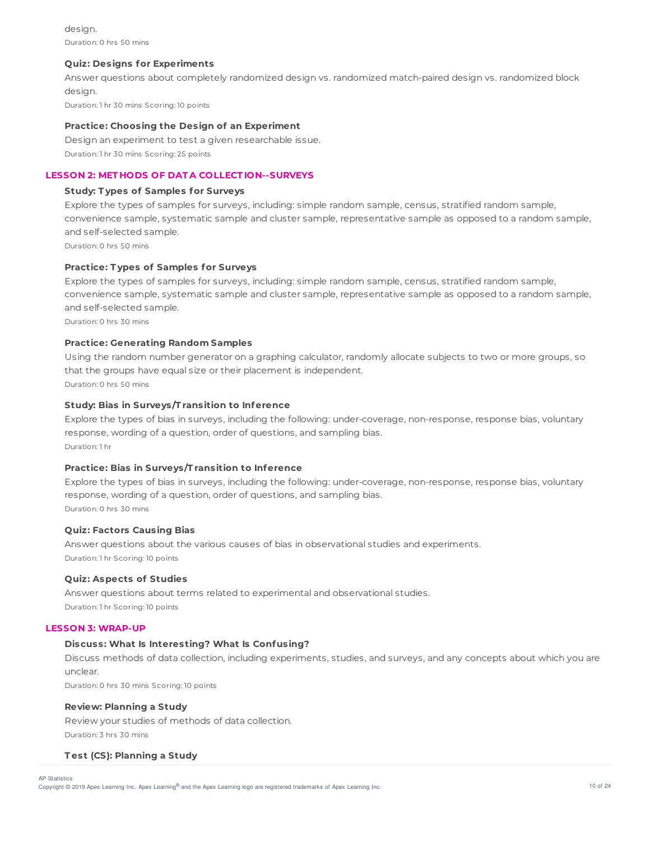design. Duration: 0 hrs 50 mins

### **Quiz: Designs for Experiments**

Answer questions about completely randomized design vs. randomized match-paired design vs. randomized block design. Duration: 1 hr 30 mins Scoring: 10 points

### **Practice: Choosing the Design of an Experiment**

Design an experiment to test a given researchable issue. Duration: 1 hr 30 mins Scoring: 25 points

## **LESSON 2: MET HODS OF DAT A COLLECT ION--SURVEYS**

## **Study: T ypes of Samples for Surveys**

Explore the types of samples for surveys, including: simple random sample, census, stratified random sample, convenience sample, systematic sample and cluster sample, representative sample as opposed to a random sample, and self-selected sample.

Duration: 0 hrs 50 mins

## **Practice: T ypes of Samples for Surveys**

Explore the types of samples for surveys, including: simple random sample, census, stratified random sample, convenience sample, systematic sample and cluster sample, representative sample as opposed to a random sample, and self-selected sample.

Duration: 0 hrs 30 mins

## **Practice: Generating Random Samples**

Using the random number generator on a graphing calculator, randomly allocate subjects to two or more groups, so that the groups have equal size or their placement is independent. Duration: 0 hrs 50 mins

## **Study: Bias in Surveys/T ransition to Inference**

Explore the types of bias in surveys, including the following: under-coverage, non-response, response bias, voluntary response, wording of a question, order of questions, and sampling bias. Duration: 1 hr

## **Practice: Bias in Surveys/T ransition to Inference**

Explore the types of bias in surveys, including the following: under-coverage, non-response, response bias, voluntary response, wording of a question, order of questions, and sampling bias. Duration: 0 hrs 30 mins

## **Quiz: Factors Causing Bias**

Answer questions about the various causes of bias in observational studies and experiments. Duration: 1 hr Scoring: 10 points

#### **Quiz: Aspects of Studies**

Answer questions about terms related to experimental and observational studies. Duration: 1 hr Scoring: 10 points

### **LESSON 3: WRAP-UP**

## **Discuss: What Is Interesting? What Is Confusing?**

Discuss methods of data collection, including experiments, studies, and surveys, and any concepts about which you are unclear.

Duration: 0 hrs 30 mins Scoring: 10 points

## **Review: Planning a Study**

Review your studies of methods of data collection. Duration: 3 hrs 30 mins

## **T est (CS): Planning a Study**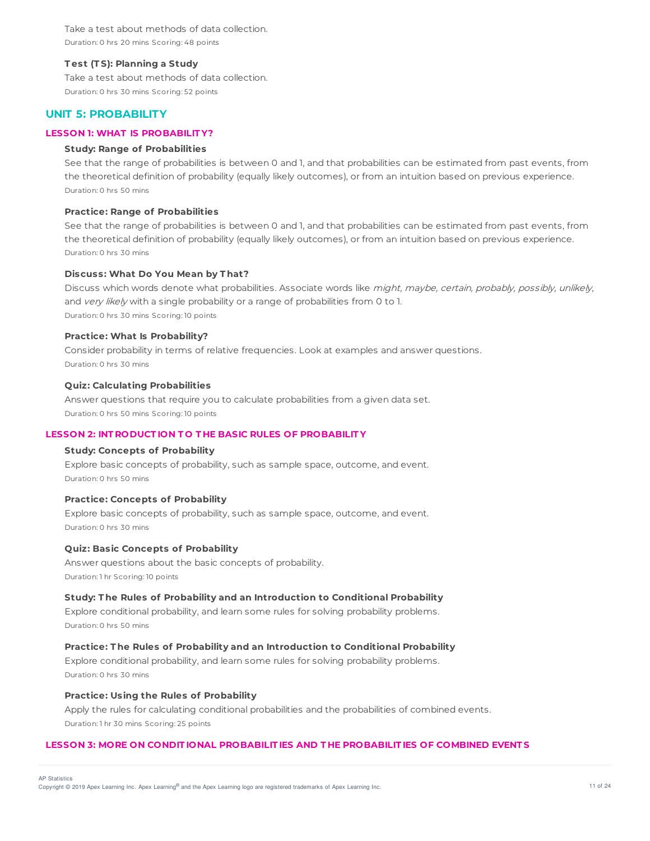Take a test about methods of data collection. Duration: 0 hrs 20 mins Scoring: 48 points

#### **T est (T S): Planning a Study**

Take a test about methods of data collection. Duration: 0 hrs 30 mins Scoring: 52 points

## **UNIT 5: PROBABILITY**

### **LESSON 1: WHAT IS PROBABILIT Y?**

## **Study: Range of Probabilities**

See that the range of probabilities is between 0 and 1, and that probabilities can be estimated from past events, from the theoretical definition of probability (equally likely outcomes), or from an intuition based on previous experience. Duration: 0 hrs 50 mins

### **Practice: Range of Probabilities**

See that the range of probabilities is between 0 and 1, and that probabilities can be estimated from past events, from the theoretical definition of probability (equally likely outcomes), or from an intuition based on previous experience. Duration: 0 hrs 30 mins

### **Discuss: What Do You Mean by T hat?**

Discuss which words denote what probabilities. Associate words like might, maybe, certain, probably, possibly, unlikely, and very likely with a single probability or a range of probabilities from 0 to 1. Duration: 0 hrs 30 mins Scoring: 10 points

#### **Practice: What Is Probability?**

Consider probability in terms of relative frequencies. Look at examples and answer questions. Duration: 0 hrs 30 mins

### **Quiz: Calculating Probabilities**

Answer questions that require you to calculate probabilities from a given data set. Duration: 0 hrs 50 mins Scoring: 10 points

### **LESSON 2: INT RODUCT ION T O T HE BASIC RULES OF PROBABILIT Y**

## **Study: Concepts of Probability**

Explore basic concepts of probability, such as sample space, outcome, and event. Duration: 0 hrs 50 mins

#### **Practice: Concepts of Probability**

Explore basic concepts of probability, such as sample space, outcome, and event. Duration: 0 hrs 30 mins

### **Quiz: Basic Concepts of Probability**

Answer questions about the basic concepts of probability. Duration: 1 hr Scoring: 10 points

### **Study: T he Rules of Probability and an Introduction to Conditional Probability**

Explore conditional probability, and learn some rules for solving probability problems. Duration: 0 hrs 50 mins

### **Practice: T he Rules of Probability and an Introduction to Conditional Probability**

Explore conditional probability, and learn some rules for solving probability problems. Duration: 0 hrs 30 mins

### **Practice: Using the Rules of Probability**

Apply the rules for calculating conditional probabilities and the probabilities of combined events. Duration: 1 hr 30 mins Scoring: 25 points

## **LESSON 3: MORE ON CONDIT IONAL PROBABILIT IES AND T HE PROBABILIT IES OF COMBINED EVENT S**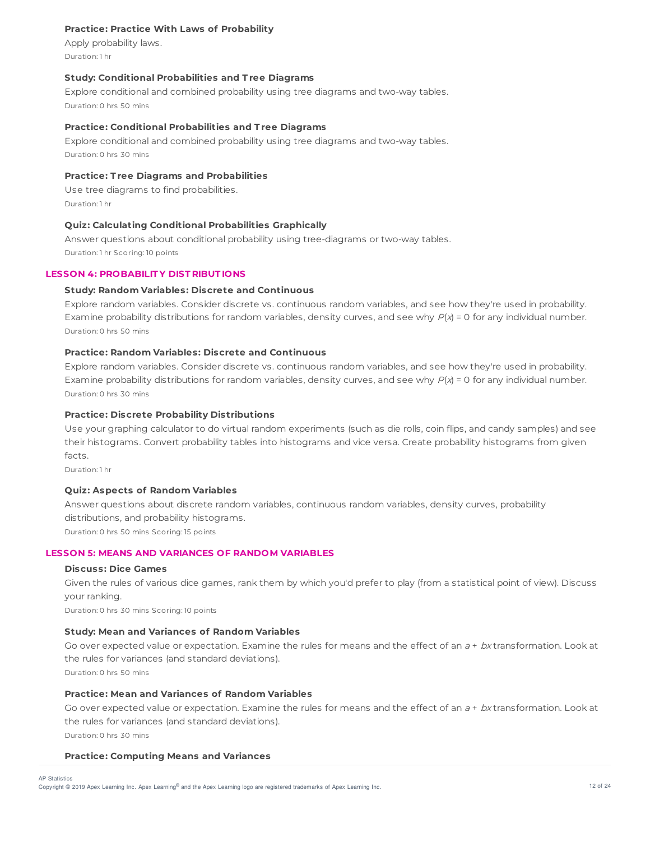## **Practice: Practice With Laws of Probability**

Apply probability laws. Duration: 1 hr

### **Study: Conditional Probabilities and T ree Diagrams**

Explore conditional and combined probability using tree diagrams and two-way tables. Duration: 0 hrs 50 mins

### **Practice: Conditional Probabilities and T ree Diagrams**

Explore conditional and combined probability using tree diagrams and two-way tables. Duration: 0 hrs 30 mins

## **Practice: T ree Diagrams and Probabilities**

Use tree diagrams to find probabilities. Duration: 1 hr

## **Quiz: Calculating Conditional Probabilities Graphically**

Answer questions about conditional probability using tree-diagrams or two-way tables. Duration: 1 hr Scoring: 10 points

#### **LESSON 4: PROBABILIT Y DIST RIBUT IONS**

## **Study: Random Variables: Discrete and Continuous**

Explore random variables. Consider discrete vs. continuous random variables, and see how they're used in probability. Examine probability distributions for random variables, density curves, and see why  $P(x) = 0$  for any individual number. Duration: 0 hrs 50 mins

## **Practice: Random Variables: Discrete and Continuous**

Explore random variables. Consider discrete vs. continuous random variables, and see how they're used in probability. Examine probability distributions for random variables, density curves, and see why  $P(x) = 0$  for any individual number. Duration: 0 hrs 30 mins

## **Practice: Discrete Probability Distributions**

Use your graphing calculator to do virtual random experiments (such as die rolls, coin flips, and candy samples) and see their histograms. Convert probability tables into histograms and vice versa. Create probability histograms from given facts.

Duration: 1 hr

## **Quiz: Aspects of Random Variables**

Answer questions about discrete random variables, continuous random variables, density curves, probability distributions, and probability histograms. Duration: 0 hrs 50 mins Scoring: 15 points

#### **LESSON 5: MEANS AND VARIANCES OF RANDOM VARIABLES**

#### **Discuss: Dice Games**

Given the rules of various dice games, rank them by which you'd prefer to play (from a statistical point of view). Discuss your ranking.

Duration: 0 hrs 30 mins Scoring: 10 points

## **Study: Mean and Variances of Random Variables**

Go over expected value or expectation. Examine the rules for means and the effect of an  $a + bx$ transformation. Look at the rules for variances (and standard deviations). Duration: 0 hrs 50 mins

## **Practice: Mean and Variances of Random Variables**

Go over expected value or expectation. Examine the rules for means and the effect of an  $a + bx$ transformation. Look at the rules for variances (and standard deviations). Duration: 0 hrs 30 mins

#### **Practice: Computing Means and Variances**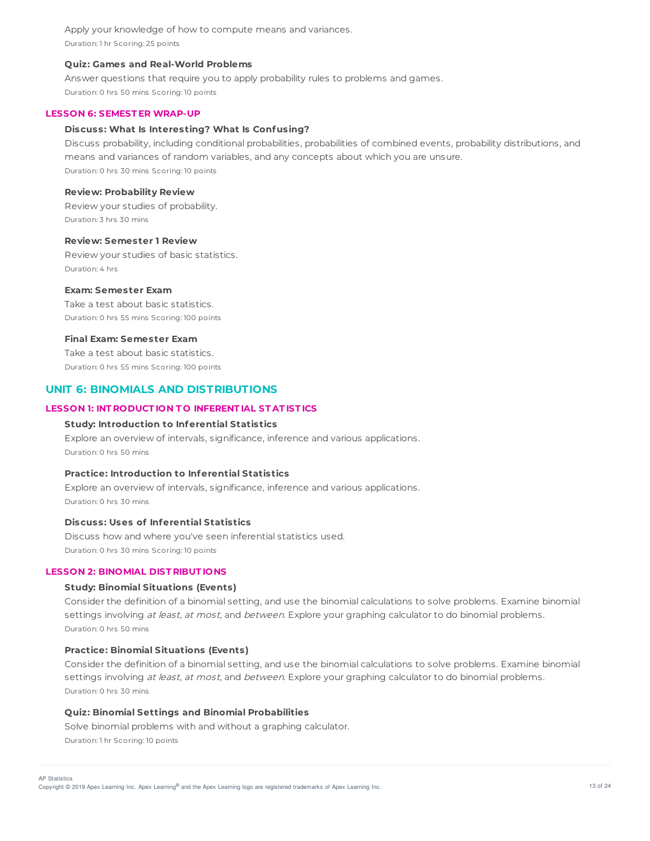Apply your knowledge of how to compute means and variances. Duration: 1 hr Scoring: 25 points

### **Quiz: Games and Real-World Problems**

Answer questions that require you to apply probability rules to problems and games. Duration: 0 hrs 50 mins Scoring: 10 points

#### **LESSON 6: SEMEST ER WRAP-UP**

### **Discuss: What Is Interesting? What Is Confusing?**

Discuss probability, including conditional probabilities, probabilities of combined events, probability distributions, and means and variances of random variables, and any concepts about which you are unsure. Duration: 0 hrs 30 mins Scoring: 10 points

## **Review: Probability Review**

Review your studies of probability. Duration: 3 hrs 30 mins

#### **Review: Semester 1 Review**

Review your studies of basic statistics. Duration: 4 hrs

## **Exam: Semester Exam**

Take a test about basic statistics. Duration: 0 hrs 55 mins Scoring: 100 points

#### **Final Exam: Semester Exam**

Take a test about basic statistics. Duration: 0 hrs 55 mins Scoring: 100 points

## **UNIT 6: BINOMIALS AND DISTRIBUTIONS**

#### **LESSON 1: INT RODUCT ION T O INFERENT IAL ST AT IST ICS**

#### **Study: Introduction to Inferential Statistics**

Explore an overview of intervals, significance, inference and various applications. Duration: 0 hrs 50 mins

### **Practice: Introduction to Inferential Statistics**

Explore an overview of intervals, significance, inference and various applications. Duration: 0 hrs 30 mins

### **Discuss: Uses of Inferential Statistics**

Discuss how and where you've seen inferential statistics used. Duration: 0 hrs 30 mins Scoring: 10 points

### **LESSON 2: BINOMIAL DIST RIBUT IONS**

#### **Study: Binomial Situations (Events)**

Consider the definition of a binomial setting, and use the binomial calculations to solve problems. Examine binomial settings involving at least, at most, and between. Explore your graphing calculator to do binomial problems. Duration: 0 hrs 50 mins

### **Practice: Binomial Situations (Events)**

Consider the definition of a binomial setting, and use the binomial calculations to solve problems. Examine binomial settings involving at least, at most, and between. Explore your graphing calculator to do binomial problems. Duration: 0 hrs 30 mins

## **Quiz: Binomial Settings and Binomial Probabilities**

Solve binomial problems with and without a graphing calculator. Duration: 1 hr Scoring: 10 points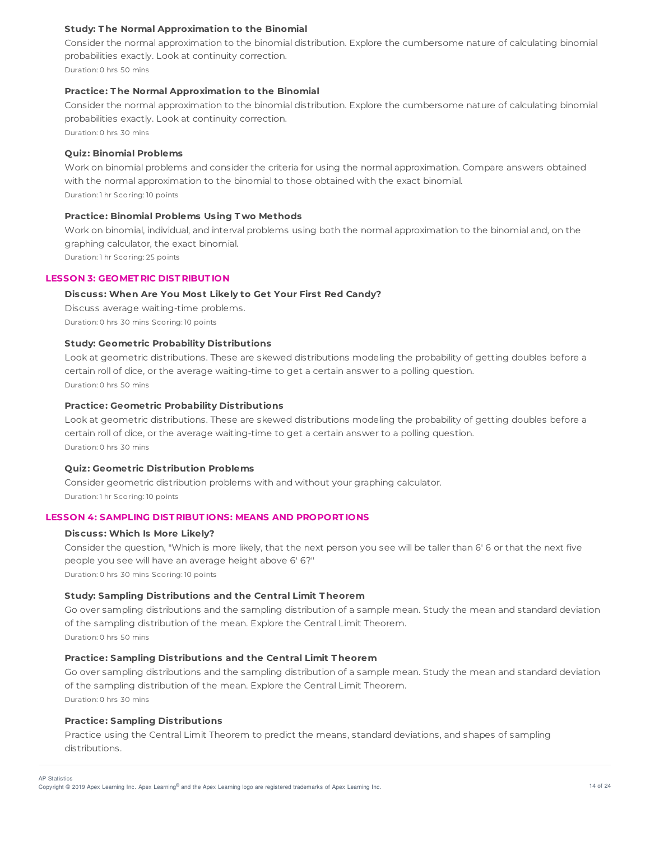## **Study: T he Normal Approximation to the Binomial**

Consider the normal approximation to the binomial distribution. Explore the cumbersome nature of calculating binomial probabilities exactly. Look at continuity correction. Duration: 0 hrs 50 mins

### **Practice: T he Normal Approximation to the Binomial**

Consider the normal approximation to the binomial distribution. Explore the cumbersome nature of calculating binomial probabilities exactly. Look at continuity correction.

Duration: 0 hrs 30 mins

#### **Quiz: Binomial Problems**

Work on binomial problems and consider the criteria for using the normal approximation. Compare answers obtained with the normal approximation to the binomial to those obtained with the exact binomial. Duration: 1 hr Scoring: 10 points

## **Practice: Binomial Problems Using T wo Methods**

Work on binomial, individual, and interval problems using both the normal approximation to the binomial and, on the graphing calculator, the exact binomial.

Duration: 1 hr Scoring: 25 points

## **LESSON 3: GEOMET RIC DIST RIBUT ION**

## **Discuss: When Are You Most Likely to Get Your First Red Candy?**

Discuss average waiting-time problems. Duration: 0 hrs 30 mins Scoring: 10 points

## **Study: Geometric Probability Distributions**

Look at geometric distributions. These are skewed distributions modeling the probability of getting doubles before a certain roll of dice, or the average waiting-time to get a certain answer to a polling question. Duration: 0 hrs 50 mins

#### **Practice: Geometric Probability Distributions**

Look at geometric distributions. These are skewed distributions modeling the probability of getting doubles before a certain roll of dice, or the average waiting-time to get a certain answer to a polling question. Duration: 0 hrs 30 mins

## **Quiz: Geometric Distribution Problems**

Consider geometric distribution problems with and without your graphing calculator. Duration: 1 hr Scoring: 10 points

### **LESSON 4: SAMPLING DIST RIBUT IONS: MEANS AND PROPORT IONS**

### **Discuss: Which Is More Likely?**

Consider the question, "Which is more likely, that the next person you see will be taller than 6' 6 or that the next five people you see will have an average height above 6' 6?" Duration: 0 hrs 30 mins Scoring: 10 points

## **Study: Sampling Distributions and the Central Limit T heorem**

Go over sampling distributions and the sampling distribution of a sample mean. Study the mean and standard deviation of the sampling distribution of the mean. Explore the Central Limit Theorem. Duration: 0 hrs 50 mins

## **Practice: Sampling Distributions and the Central Limit T heorem**

Go over sampling distributions and the sampling distribution of a sample mean. Study the mean and standard deviation of the sampling distribution of the mean. Explore the Central Limit Theorem. Duration: 0 hrs 30 mins

## **Practice: Sampling Distributions**

Practice using the Central Limit Theorem to predict the means, standard deviations, and shapes of sampling distributions.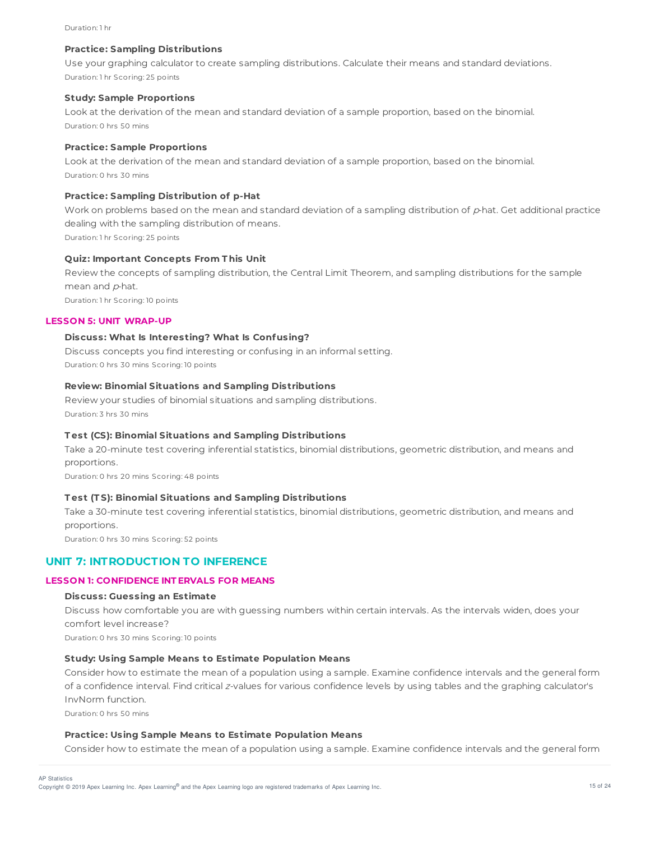#### Duration: 1 hr

#### **Practice: Sampling Distributions**

Use your graphing calculator to create sampling distributions. Calculate their means and standard deviations. Duration: 1 hr Scoring: 25 points

### **Study: Sample Proportions**

Look at the derivation of the mean and standard deviation of a sample proportion, based on the binomial. Duration: 0 hrs 50 mins

#### **Practice: Sample Proportions**

Look at the derivation of the mean and standard deviation of a sample proportion, based on the binomial. Duration: 0 hrs 30 mins

#### **Practice: Sampling Distribution of p-Hat**

Work on problems based on the mean and standard deviation of a sampling distribution of  $p$ -hat. Get additional practice dealing with the sampling distribution of means.

Duration: 1 hr Scoring: 25 points

### **Quiz: Important Concepts From T his Unit**

Review the concepts of sampling distribution, the Central Limit Theorem, and sampling distributions for the sample mean and p-hat.

Duration: 1 hr Scoring: 10 points

## **LESSON 5: UNIT WRAP-UP**

### **Discuss: What Is Interesting? What Is Confusing?**

Discuss concepts you find interesting or confusing in an informal setting. Duration: 0 hrs 30 mins Scoring: 10 points

#### **Review: Binomial Situations and Sampling Distributions**

Review your studies of binomial situations and sampling distributions. Duration: 3 hrs 30 mins

#### **T est (CS): Binomial Situations and Sampling Distributions**

Take a 20-minute test covering inferential statistics, binomial distributions, geometric distribution, and means and proportions.

Duration: 0 hrs 20 mins Scoring: 48 points

#### **T est (T S): Binomial Situations and Sampling Distributions**

Take a 30-minute test covering inferential statistics, binomial distributions, geometric distribution, and means and proportions.

Duration: 0 hrs 30 mins Scoring: 52 points

# **UNIT 7: INTRODUCTION TO INFERENCE**

#### **LESSON 1: CONFIDENCE INT ERVALS FOR MEANS**

#### **Discuss: Guessing an Estimate**

Discuss how comfortable you are with guessing numbers within certain intervals. As the intervals widen, does your comfort level increase?

Duration: 0 hrs 30 mins Scoring: 10 points

## **Study: Using Sample Means to Estimate Population Means**

Consider how to estimate the mean of a population using a sample. Examine confidence intervals and the general form of a confidence interval. Find critical <sup>z</sup>-values for various confidence levels by using tables and the graphing calculator's InvNorm function. Duration: 0 hrs 50 mins

## **Practice: Using Sample Means to Estimate Population Means**

Consider how to estimate the mean of a population using a sample. Examine confidence intervals and the general form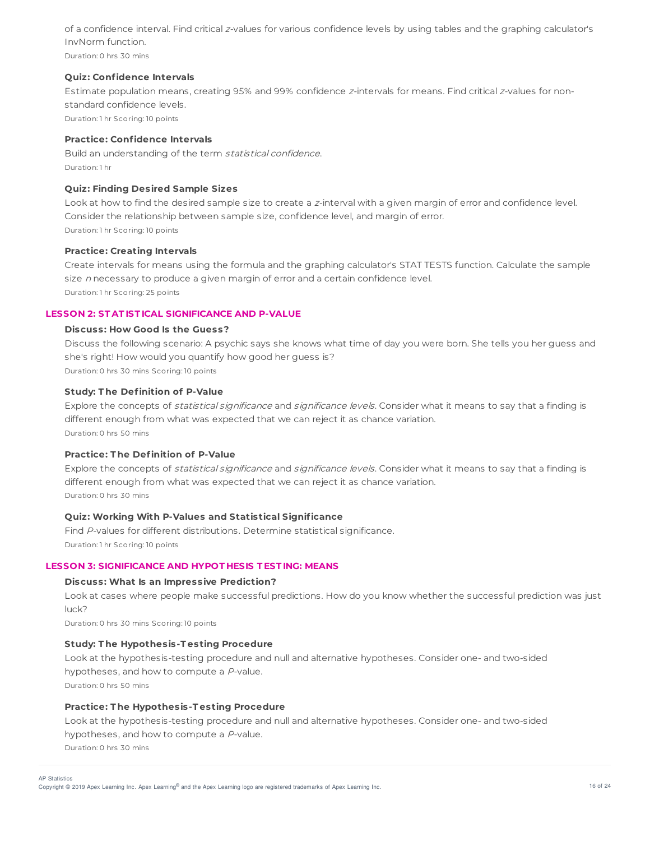of a confidence interval. Find critical <sup>z</sup>-values for various confidence levels by using tables and the graphing calculator's InvNorm function. Duration: 0 hrs 30 mins

**Quiz: Confidence Intervals**

Estimate population means, creating 95% and 99% confidence <sup>z</sup>-intervals for means. Find critical <sup>z</sup>-values for nonstandard confidence levels.

Duration: 1 hr Scoring: 10 points

## **Practice: Confidence Intervals**

Build an understanding of the term statistical confidence. Duration: 1 hr

## **Quiz: Finding Desired Sample Sizes**

Look at how to find the desired sample size to create a <sup>z</sup>-interval with a given margin of error and confidence level. Consider the relationship between sample size, confidence level, and margin of error. Duration: 1 hr Scoring: 10 points

### **Practice: Creating Intervals**

Create intervals for means using the formula and the graphing calculator's STAT TESTS function. Calculate the sample size n necessary to produce a given margin of error and a certain confidence level. Duration: 1 hr Scoring: 25 points

## **LESSON 2: ST AT IST ICAL SIGNIFICANCE AND P-VALUE**

## **Discuss: How Good Is the Guess?**

Discuss the following scenario: A psychic says she knows what time of day you were born. She tells you her guess and she's right! How would you quantify how good her guess is? Duration: 0 hrs 30 mins Scoring: 10 points

### **Study: T he Definition of P-Value**

Explore the concepts of *statistical significance* and *significance levels*. Consider what it means to say that a finding is different enough from what was expected that we can reject it as chance variation. Duration: 0 hrs 50 mins

## **Practice: T he Definition of P-Value**

Explore the concepts of *statistical significance* and *significance levels*. Consider what it means to say that a finding is different enough from what was expected that we can reject it as chance variation. Duration: 0 hrs 30 mins

## **Quiz: Working With P-Values and Statistical Significance**

Find P-values for different distributions. Determine statistical significance. Duration: 1 hr Scoring: 10 points

#### **LESSON 3: SIGNIFICANCE AND HYPOT HESIS T EST ING: MEANS**

#### **Discuss: What Is an Impressive Prediction?**

Look at cases where people make successful predictions. How do you know whether the successful prediction was just luck?

Duration: 0 hrs 30 mins Scoring: 10 points

#### **Study: T he Hypothesis-T esting Procedure**

Look at the hypothesis-testing procedure and null and alternative hypotheses. Consider one- and two-sided hypotheses, and how to compute a P-value.

Duration: 0 hrs 50 mins

### **Practice: T he Hypothesis-T esting Procedure**

Look at the hypothesis-testing procedure and null and alternative hypotheses. Consider one- and two-sided hypotheses, and how to compute a P-value. Duration: 0 hrs 30 mins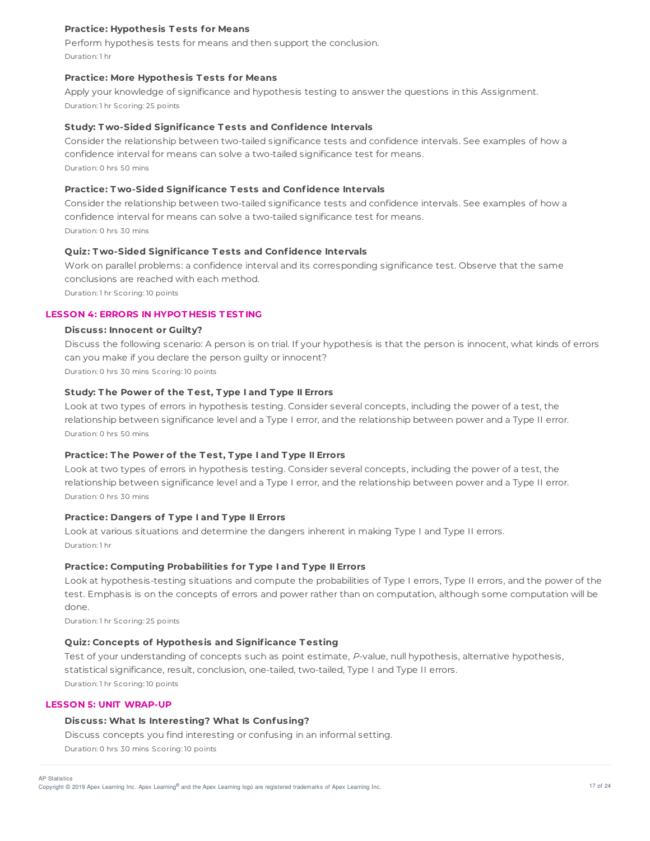## **Practice: Hypothesis T ests for Means**

Perform hypothesis tests for means and then support the conclusion. Duration: 1 hr

#### **Practice: More Hypothesis T ests for Means**

Apply your knowledge of significance and hypothesis testing to answer the questions in this Assignment. Duration: 1 hr Scoring: 25 points

### **Study: T wo-Sided Significance T ests and Confidence Intervals**

Consider the relationship between two-tailed significance tests and confidence intervals. See examples of how a confidence interval for means can solve a two-tailed significance test for means. Duration: 0 hrs 50 mins

#### **Practice: T wo-Sided Significance T ests and Confidence Intervals**

Consider the relationship between two-tailed significance tests and confidence intervals. See examples of how a confidence interval for means can solve a two-tailed significance test for means. Duration: 0 hrs 30 mins

### **Quiz: T wo-Sided Significance T ests and Confidence Intervals**

Work on parallel problems: a confidence interval and its corresponding significance test. Observe that the same conclusions are reached with each method.

Duration: 1 hr Scoring: 10 points

## **LESSON 4: ERRORS IN HYPOT HESIS T EST ING**

#### **Discuss: Innocent or Guilty?**

Discuss the following scenario: A person is on trial. If your hypothesis is that the person is innocent, what kinds of errors can you make if you declare the person guilty or innocent? Duration: 0 hrs 30 mins Scoring: 10 points

## **Study: T he Power of the T est, T ype I and T ype II Errors**

Look at two types of errors in hypothesis testing. Consider several concepts, including the power of a test, the relationship between significance level and a Type I error, and the relationship between power and a Type II error. Duration: 0 hrs 50 mins

## **Practice: T he Power of the T est, T ype I and T ype II Errors**

Look at two types of errors in hypothesis testing. Consider several concepts, including the power of a test, the relationship between significance level and a Type I error, and the relationship between power and a Type II error. Duration: 0 hrs 30 mins

#### **Practice: Dangers of T ype I and T ype II Errors**

Look at various situations and determine the dangers inherent in making Type I and Type II errors. Duration: 1 hr

## **Practice: Computing Probabilities for T ype I and T ype II Errors**

Look at hypothesis-testing situations and compute the probabilities of Type I errors, Type II errors, and the power of the test. Emphasis is on the concepts of errors and power rather than on computation, although some computation will be done.

Duration: 1 hr Scoring: 25 points

### **Quiz: Concepts of Hypothesis and Significance T esting**

Test of your understanding of concepts such as point estimate, P-value, null hypothesis, alternative hypothesis, statistical significance, result, conclusion, one-tailed, two-tailed, Type I and Type II errors. Duration: 1 hr Scoring: 10 points

## **LESSON 5: UNIT WRAP-UP**

## **Discuss: What Is Interesting? What Is Confusing?**

Discuss concepts you find interesting or confusing in an informal setting. Duration: 0 hrs 30 mins Scoring: 10 points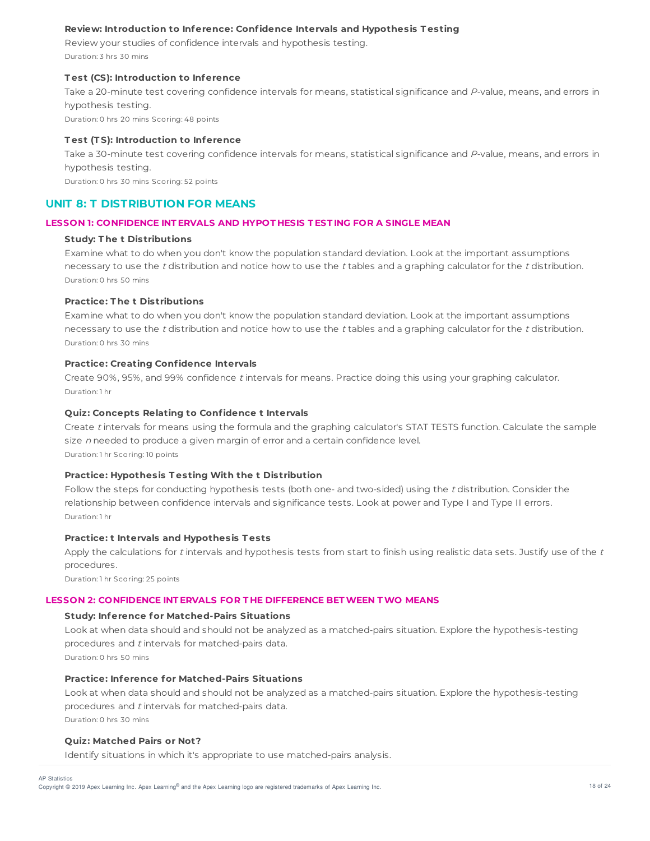## **Review: Introduction to Inference: Confidence Intervals and Hypothesis T esting**

Review your studies of confidence intervals and hypothesis testing.

Duration: 3 hrs 30 mins

## **T est (CS): Introduction to Inference**

Take a 20-minute test covering confidence intervals for means, statistical significance and P-value, means, and errors in hypothesis testing.

Duration: 0 hrs 20 mins Scoring: 48 points

## **T est (T S): Introduction to Inference**

Take a 30-minute test covering confidence intervals for means, statistical significance and P-value, means, and errors in hypothesis testing.

Duration: 0 hrs 30 mins Scoring: 52 points

# **UNIT 8: T DISTRIBUTION FOR MEANS**

## **LESSON 1: CONFIDENCE INT ERVALS AND HYPOT HESIS T EST ING FOR A SINGLE MEAN**

## **Study: T he t Distributions**

Examine what to do when you don't know the population standard deviation. Look at the important assumptions necessary to use the t distribution and notice how to use the  $t$  tables and a graphing calculator for the  $t$  distribution. Duration: 0 hrs 50 mins

## **Practice: T he t Distributions**

Examine what to do when you don't know the population standard deviation. Look at the important assumptions necessary to use the t distribution and notice how to use the  $t$  tables and a graphing calculator for the  $t$  distribution. Duration: 0 hrs 30 mins

## **Practice: Creating Confidence Intervals**

Create 90%, 95%, and 99% confidence <sup>t</sup> intervals for means. Practice doing this using your graphing calculator. Duration: 1 hr

## **Quiz: Concepts Relating to Confidence t Intervals**

Create t intervals for means using the formula and the graphing calculator's STAT TESTS function. Calculate the sample size n needed to produce a given margin of error and a certain confidence level. Duration: 1 hr Scoring: 10 points

## **Practice: Hypothesis T esting With the t Distribution**

Follow the steps for conducting hypothesis tests (both one- and two-sided) using the  $t$  distribution. Consider the relationship between confidence intervals and significance tests. Look at power and Type I and Type II errors. Duration: 1 hr

## **Practice: t Intervals and Hypothesis T ests**

Apply the calculations for  $t$  intervals and hypothesis tests from start to finish using realistic data sets. Justify use of the  $t$ procedures.

Duration: 1 hr Scoring: 25 points

# **LESSON 2: CONFIDENCE INT ERVALS FOR T HE DIFFERENCE BETWEEN TWO MEANS**

# **Study: Inference for Matched-Pairs Situations**

Look at when data should and should not be analyzed as a matched-pairs situation. Explore the hypothesis-testing procedures and  $t$  intervals for matched-pairs data. Duration: 0 hrs 50 mins

## **Practice: Inference for Matched-Pairs Situations**

Look at when data should and should not be analyzed as a matched-pairs situation. Explore the hypothesis-testing procedures and  $t$  intervals for matched-pairs data. Duration: 0 hrs 30 mins

## **Quiz: Matched Pairs or Not?**

Identify situations in which it's appropriate to use matched-pairs analysis.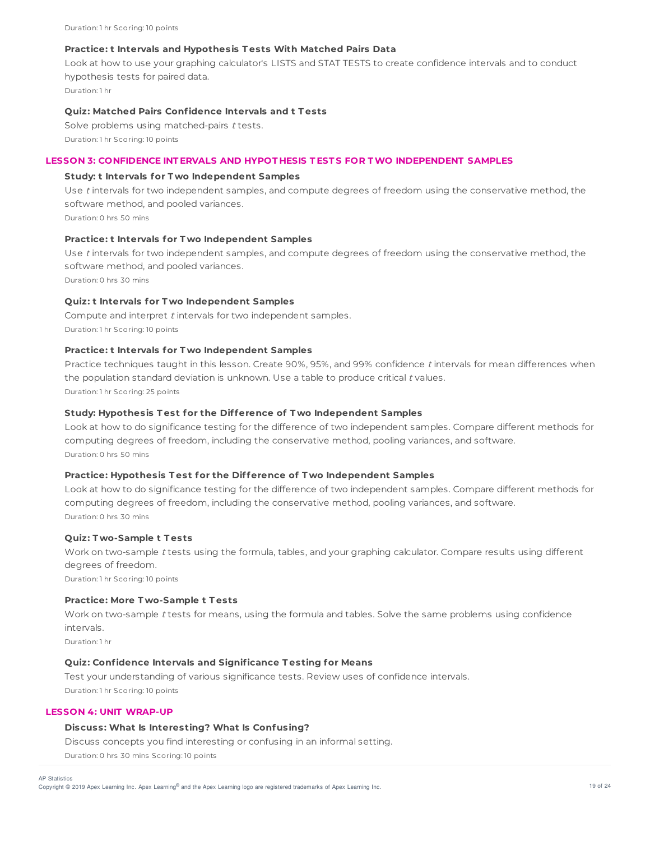#### **Practice: t Intervals and Hypothesis T ests With Matched Pairs Data**

Look at how to use your graphing calculator's LISTS and STAT TESTS to create confidence intervals and to conduct hypothesis tests for paired data. Duration: 1 hr

## **Quiz: Matched Pairs Confidence Intervals and t T ests**

Solve problems using matched-pairs t tests. Duration: 1 hr Scoring: 10 points

#### **LESSON 3: CONFIDENCE INT ERVALS AND HYPOT HESIS T EST S FOR TWO INDEPENDENT SAMPLES**

#### **Study: t Intervals for T wo Independent Samples**

Use t intervals for two independent samples, and compute degrees of freedom using the conservative method, the software method, and pooled variances.

Duration: 0 hrs 50 mins

## **Practice: t Intervals for T wo Independent Samples**

Use t intervals for two independent samples, and compute degrees of freedom using the conservative method, the software method, and pooled variances. Duration: 0 hrs 30 mins

#### **Quiz: t Intervals for T wo Independent Samples**

Compute and interpret t intervals for two independent samples. Duration: 1 hr Scoring: 10 points

## **Practice: t Intervals for T wo Independent Samples**

Practice techniques taught in this lesson. Create 90%, 95%, and 99% confidence <sup>t</sup> intervals for mean differences when the population standard deviation is unknown. Use a table to produce critical  $t$  values. Duration: 1 hr Scoring: 25 points

### **Study: Hypothesis T est for the Difference of T wo Independent Samples**

Look at how to do significance testing for the difference of two independent samples. Compare different methods for computing degrees of freedom, including the conservative method, pooling variances, and software. Duration: 0 hrs 50 mins

#### **Practice: Hypothesis T est for the Difference of T wo Independent Samples**

Look at how to do significance testing for the difference of two independent samples. Compare different methods for computing degrees of freedom, including the conservative method, pooling variances, and software. Duration: 0 hrs 30 mins

#### **Quiz: T wo-Sample t T ests**

Work on two-sample <sup>t</sup> tests using the formula, tables, and your graphing calculator. Compare results using different degrees of freedom.

Duration: 1 hr Scoring: 10 points

## **Practice: More T wo-Sample t T ests**

Work on two-sample <sup>t</sup> tests for means, using the formula and tables. Solve the same problems using confidence intervals.

Duration: 1 hr

### **Quiz: Confidence Intervals and Significance T esting for Means**

Test your understanding of various significance tests. Review uses of confidence intervals. Duration: 1 hr Scoring: 10 points

#### **LESSON 4: UNIT WRAP-UP**

#### **Discuss: What Is Interesting? What Is Confusing?**

Discuss concepts you find interesting or confusing in an informal setting.

Duration: 0 hrs 30 mins Scoring: 10 points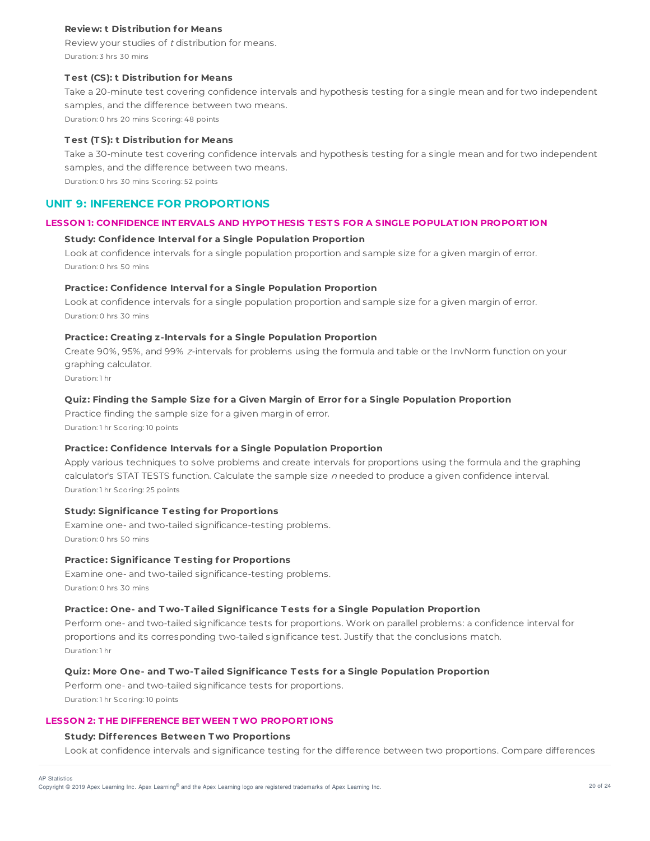## **Review: t Distribution for Means**

Review your studies of <sup>t</sup> distribution for means. Duration: 3 hrs 30 mins

### **T est (CS): t Distribution for Means**

Take a 20-minute test covering confidence intervals and hypothesis testing for a single mean and for two independent samples, and the difference between two means.

Duration: 0 hrs 20 mins Scoring: 48 points

## **T est (T S): t Distribution for Means**

Take a 30-minute test covering confidence intervals and hypothesis testing for a single mean and for two independent samples, and the difference between two means. Duration: 0 hrs 30 mins Scoring: 52 points

## **UNIT 9: INFERENCE FOR PROPORTIONS**

## **LESSON 1: CONFIDENCE INT ERVALS AND HYPOT HESIS T EST S FOR A SINGLE POPULAT ION PROPORT ION**

#### **Study: Confidence Interval for a Single Population Proportion**

Look at confidence intervals for a single population proportion and sample size for a given margin of error. Duration: 0 hrs 50 mins

#### **Practice: Confidence Interval for a Single Population Proportion**

Look at confidence intervals for a single population proportion and sample size for a given margin of error. Duration: 0 hrs 30 mins

### **Practice: Creating z-Intervals for a Single Population Proportion**

Create 90%, 95%, and 99% <sup>z</sup>-intervals for problems using the formula and table or the InvNorm function on your graphing calculator.

Duration: 1 hr

#### **Quiz: Finding the Sample Size for a Given Margin of Error for a Single Population Proportion**

Practice finding the sample size for a given margin of error. Duration: 1 hr Scoring: 10 points

## **Practice: Confidence Intervals for a Single Population Proportion**

Apply various techniques to solve problems and create intervals for proportions using the formula and the graphing calculator's STAT TESTS function. Calculate the sample size n needed to produce a given confidence interval. Duration: 1 hr Scoring: 25 points

## **Study: Significance T esting for Proportions**

Examine one- and two-tailed significance-testing problems. Duration: 0 hrs 50 mins

### **Practice: Significance T esting for Proportions**

Examine one- and two-tailed significance-testing problems. Duration: 0 hrs 30 mins

#### **Practice: One- and T wo-T ailed Significance T ests for a Single Population Proportion**

Perform one- and two-tailed significance tests for proportions. Work on parallel problems: a confidence interval for proportions and its corresponding two-tailed significance test. Justify that the conclusions match. Duration: 1 hr

### **Quiz: More One- and T wo-T ailed Significance T ests for a Single Population Proportion**

Perform one- and two-tailed significance tests for proportions. Duration: 1 hr Scoring: 10 points

#### **LESSON 2: T HE DIFFERENCE BETWEEN TWO PROPORT IONS**

#### **Study: Differences Between T wo Proportions**

Look at confidence intervals and significance testing for the difference between two proportions. Compare differences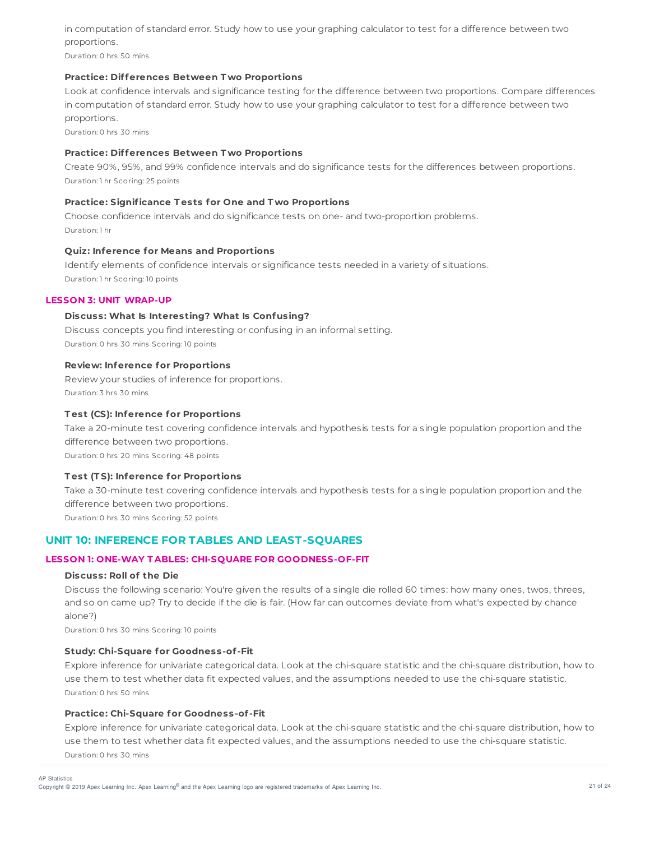in computation of standard error. Study how to use your graphing calculator to test for a difference between two proportions.

Duration: 0 hrs 50 mins

## **Practice: Differences Between T wo Proportions**

Look at confidence intervals and significance testing for the difference between two proportions. Compare differences in computation of standard error. Study how to use your graphing calculator to test for a difference between two proportions.

Duration: 0 hrs 30 mins

## **Practice: Differences Between T wo Proportions**

Create 90%, 95%, and 99% confidence intervals and do significance tests for the differences between proportions. Duration: 1 hr Scoring: 25 points

### **Practice: Significance T ests for One and T wo Proportions**

Choose confidence intervals and do significance tests on one- and two-proportion problems. Duration: 1 hr

## **Quiz: Inference for Means and Proportions**

Identify elements of confidence intervals or significance tests needed in a variety of situations. Duration: 1 hr Scoring: 10 points

### **LESSON 3: UNIT WRAP-UP**

## **Discuss: What Is Interesting? What Is Confusing?**

Discuss concepts you find interesting or confusing in an informal setting. Duration: 0 hrs 30 mins Scoring: 10 points

### **Review: Inference for Proportions**

Review your studies of inference for proportions. Duration: 3 hrs 30 mins

## **T est (CS): Inference for Proportions**

Take a 20-minute test covering confidence intervals and hypothesis tests for a single population proportion and the difference between two proportions. Duration: 0 hrs 20 mins Scoring: 48 points

#### **T est (T S): Inference for Proportions**

Take a 30-minute test covering confidence intervals and hypothesis tests for a single population proportion and the difference between two proportions.

Duration: 0 hrs 30 mins Scoring: 52 points

# **UNIT 10: INFERENCE FOR TABLES AND LEAST-SQUARES**

## **LESSON 1: ONE-WAY T ABLES: CHI-SQUARE FOR GOODNESS-OF-FIT**

#### **Discuss: Roll of the Die**

Discuss the following scenario: You're given the results of a single die rolled 60 times: how many ones, twos, threes, and so on came up? Try to decide if the die is fair. (How far can outcomes deviate from what's expected by chance alone?)

Duration: 0 hrs 30 mins Scoring: 10 points

#### **Study: Chi-Square for Goodness-of-Fit**

Explore inference for univariate categorical data. Look at the chi-square statistic and the chi-square distribution, how to use them to test whether data fit expected values, and the assumptions needed to use the chi-square statistic. Duration: 0 hrs 50 mins

### **Practice: Chi-Square for Goodness-of-Fit**

Explore inference for univariate categorical data. Look at the chi-square statistic and the chi-square distribution, how to use them to test whether data fit expected values, and the assumptions needed to use the chi-square statistic. Duration: 0 hrs 30 mins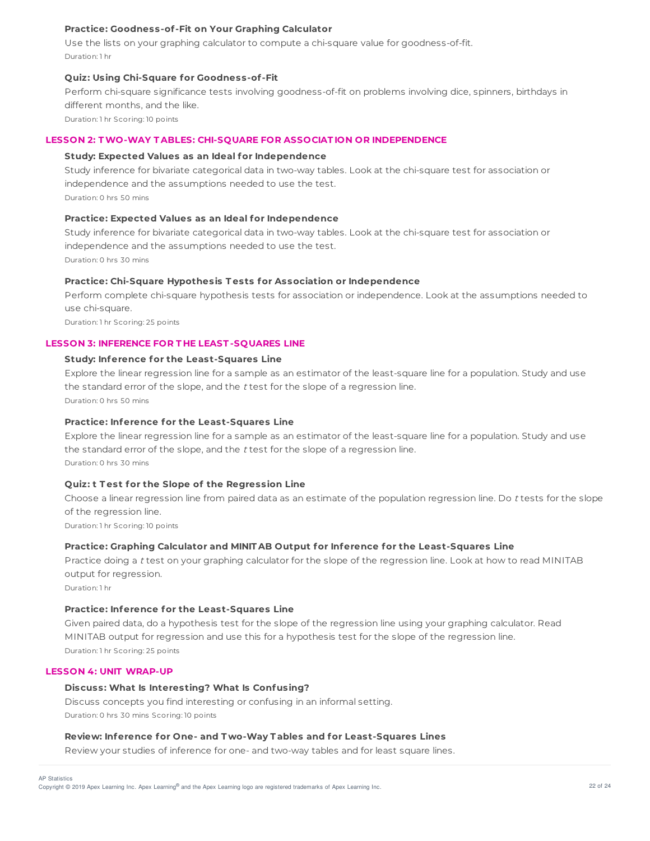## **Practice: Goodness-of-Fit on Your Graphing Calculator**

Use the lists on your graphing calculator to compute a chi-square value for goodness-of-fit. Duration: 1 hr

### **Quiz: Using Chi-Square for Goodness-of-Fit**

Perform chi-square significance tests involving goodness-of-fit on problems involving dice, spinners, birthdays in different months, and the like.

Duration: 1 hr Scoring: 10 points

## **LESSON 2: TWO-WAY T ABLES: CHI-SQUARE FOR ASSOCIAT ION OR INDEPENDENCE**

## **Study: Expected Values as an Ideal for Independence**

Study inference for bivariate categorical data in two-way tables. Look at the chi-square test for association or independence and the assumptions needed to use the test. Duration: 0 hrs 50 mins

#### **Practice: Expected Values as an Ideal for Independence**

Study inference for bivariate categorical data in two-way tables. Look at the chi-square test for association or independence and the assumptions needed to use the test. Duration: 0 hrs 30 mins

## **Practice: Chi-Square Hypothesis T ests for Association or Independence**

Perform complete chi-square hypothesis tests for association or independence. Look at the assumptions needed to use chi-square.

Duration: 1 hr Scoring: 25 points

## **LESSON 3: INFERENCE FOR T HE LEAST -SQUARES LINE**

#### **Study: Inference for the Least-Squares Line**

Explore the linear regression line for a sample as an estimator of the least-square line for a population. Study and use the standard error of the slope, and the  $t$  test for the slope of a regression line. Duration: 0 hrs 50 mins

### **Practice: Inference for the Least-Squares Line**

Explore the linear regression line for a sample as an estimator of the least-square line for a population. Study and use the standard error of the slope, and the  $t$  test for the slope of a regression line. Duration: 0 hrs 30 mins

#### **Quiz: t T est for the Slope of the Regression Line**

Choose a linear regression line from paired data as an estimate of the population regression line. Do <sup>t</sup> tests for the slope of the regression line.

Duration: 1 hr Scoring: 10 points

#### **Practice: Graphing Calculator and MINIT AB Output for Inference for the Least-Squares Line**

Practice doing a <sup>t</sup> test on your graphing calculator for the slope of the regression line. Look at how to read MINITAB output for regression.

Duration: 1 hr

### **Practice: Inference for the Least-Squares Line**

Given paired data, do a hypothesis test for the slope of the regression line using your graphing calculator. Read MINITAB output for regression and use this for a hypothesis test for the slope of the regression line. Duration: 1 hr Scoring: 25 points

## **LESSON 4: UNIT WRAP-UP**

#### **Discuss: What Is Interesting? What Is Confusing?**

Discuss concepts you find interesting or confusing in an informal setting. Duration: 0 hrs 30 mins Scoring: 10 points

#### **Review: Inference for One- and T wo-Way T ables and for Least-Squares Lines**

Review your studies of inference for one- and two-way tables and for least square lines.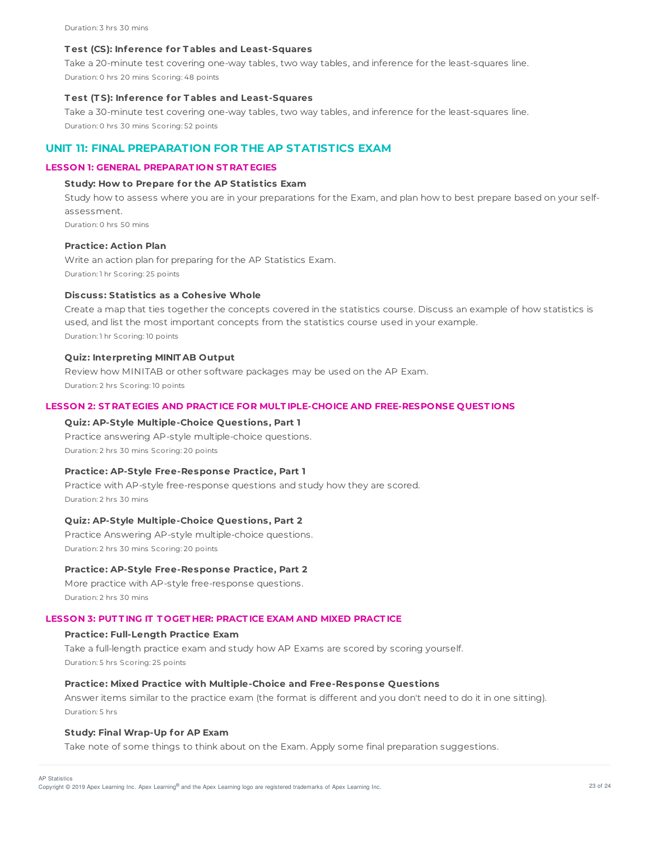#### **T est (CS): Inference for T ables and Least-Squares**

Take a 20-minute test covering one-way tables, two way tables, and inference for the least-squares line. Duration: 0 hrs 20 mins Scoring: 48 points

### **T est (T S): Inference for T ables and Least-Squares**

Take a 30-minute test covering one-way tables, two way tables, and inference for the least-squares line. Duration: 0 hrs 30 mins Scoring: 52 points

## **UNIT 11: FINAL PREPARATION FOR THE AP STATISTICS EXAM**

### **LESSON 1: GENERAL PREPARAT ION ST RAT EGIES**

#### **Study: How to Prepare for the AP Statistics Exam**

Study how to assess where you are in your preparations for the Exam, and plan how to best prepare based on your selfassessment.

Duration: 0 hrs 50 mins

## **Practice: Action Plan**

Write an action plan for preparing for the AP Statistics Exam. Duration: 1 hr Scoring: 25 points

### **Discuss: Statistics as a Cohesive Whole**

Create a map that ties together the concepts covered in the statistics course. Discuss an example of how statistics is used, and list the most important concepts from the statistics course used in your example. Duration: 1 hr Scoring: 10 points

## **Quiz: Interpreting MINIT AB Output**

Review how MINITAB or other software packages may be used on the AP Exam. Duration: 2 hrs Scoring: 10 points

#### **LESSON 2: ST RAT EGIES AND PRACT ICE FOR MULT IPLE-CHOICE AND FREE-RESPONSE QUEST IONS**

## **Quiz: AP-Style Multiple-Choice Questions, Part 1**

Practice answering AP-style multiple-choice questions. Duration: 2 hrs 30 mins Scoring: 20 points

## **Practice: AP-Style Free-Response Practice, Part 1**

Practice with AP-style free-response questions and study how they are scored. Duration: 2 hrs 30 mins

## **Quiz: AP-Style Multiple-Choice Questions, Part 2**

Practice Answering AP-style multiple-choice questions. Duration: 2 hrs 30 mins Scoring: 20 points

## **Practice: AP-Style Free-Response Practice, Part 2**

More practice with AP-style free-response questions. Duration: 2 hrs 30 mins

## **LESSON 3: PUT T ING IT T OGET HER: PRACT ICE EXAM AND MIXED PRACT ICE**

### **Practice: Full-Length Practice Exam**

Take a full-length practice exam and study how AP Exams are scored by scoring yourself. Duration: 5 hrs Scoring: 25 points

#### **Practice: Mixed Practice with Multiple-Choice and Free-Response Questions**

Answer items similar to the practice exam (the format is different and you don't need to do it in one sitting). Duration: 5 hrs

## **Study: Final Wrap-Up for AP Exam**

Take note of some things to think about on the Exam. Apply some final preparation suggestions.